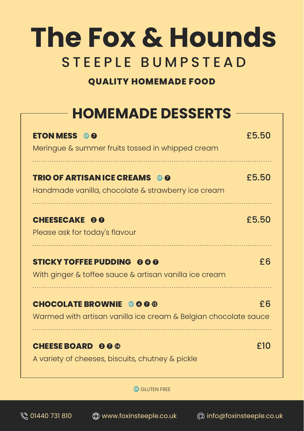# **The Fox & Hounds** STEEPLE BUMPSTEAD

#### **QUALITY HOMEMADE FOOD**

## **HOMEMADE DESSERTS**

| <b>ETON MESS © 0</b><br>Meringue & summer fruits tossed in whipped cream                         | £5.50 |
|--------------------------------------------------------------------------------------------------|-------|
| <b>TRIO OF ARTISAN ICE CREAMS @ 0</b><br>Handmade vanilla, chocolate & strawberry ice cream      | £5.50 |
| <b>CHEESECAKE 00</b><br>Please ask for today's flavour                                           | £5.50 |
| <b>STICKY TOFFEE PUDDING 000</b><br>With ginger & toffee sauce & artisan vanilla ice cream       | £6    |
| <b>CHOCOLATE BROWNIE GOOG</b><br>Warmed with artisan vanilla ice cream & Belgian chocolate sauce | £6    |
| <b>CHEESE BOARD 000</b><br>A variety of cheeses, biscuits, chutney & pickle                      | £10   |

**GF** GLUTEN FREE